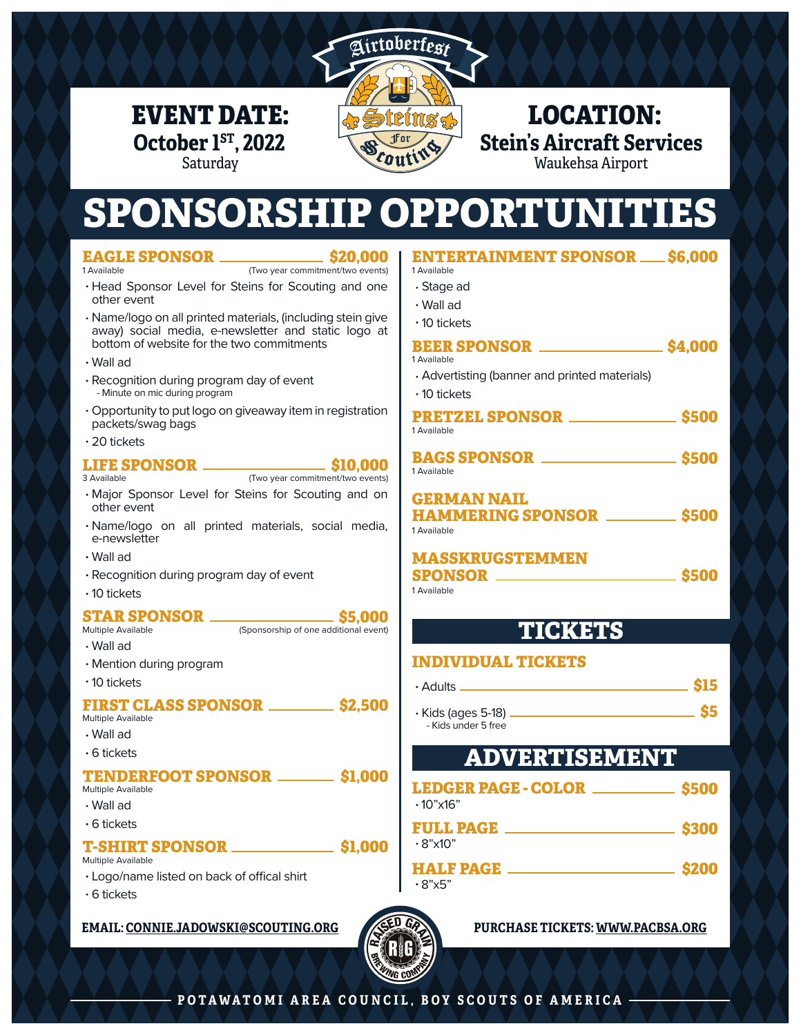

## EVENT DATE:  $\sqrt{\frac{1}{2} \sin \frac{1}{2} \sin \frac{1}{2}}$  LOCATION: **Stein's Aircraft Services** Waukehsa Airport

# SPONSORSHIP OPPORTUNITIES

| <b>EAGLE SPONSOR ________________ \$20.000</b>                                                          | <b>ENTERTAINMENT SPONSOR __ \$6.000</b>                            |       |
|---------------------------------------------------------------------------------------------------------|--------------------------------------------------------------------|-------|
| (Two year commitment/two events)<br>1 Available<br>· Head Sponsor Level for Steins for Scouting and one | 1 Available                                                        |       |
| other event                                                                                             | $\cdot$ Stage ad<br>$\cdot$ Wall ad                                |       |
| · Name/logo on all printed materials, (including stein give                                             | $\cdot$ 10 tickets                                                 |       |
| away) social media, e-newsletter and static logo at                                                     |                                                                    |       |
| bottom of website for the two commitments                                                               | <b>BEER SPONSOR __________________ \$4,000</b><br>1 Available      |       |
| $\cdot$ Wall ad                                                                                         | • Advertisting (banner and printed materials)                      |       |
| · Recognition during program day of event<br>- Minute on mic during program                             | $\cdot$ 10 tickets                                                 |       |
| · Opportunity to put logo on giveaway item in registration<br>packets/swag bags                         | <b>PRETZEL SPONSOR _______________ \$500</b><br>1 Available        |       |
| $\cdot$ 20 tickets                                                                                      |                                                                    |       |
| (Two year commitment/two events)<br>3 Available                                                         | <b>BAGS SPONSOR _________________________ \$500</b><br>1 Available |       |
| · Major Sponsor Level for Steins for Scouting and on<br>other event                                     | <b>GERMAN NAIL</b><br><b>HAMMERING SPONSOR __________ \$500</b>    |       |
| · Name/logo on all printed materials, social media,<br>e-newsletter                                     | 1 Available                                                        |       |
| $\cdot$ Wall ad                                                                                         | <b>MASSKRUGSTEMMEN</b>                                             |       |
| · Recognition during program day of event                                                               |                                                                    |       |
| $\cdot$ 10 tickets                                                                                      | 1 Available                                                        |       |
| <b>STAR SPONSOR ______________________ \$5,000</b>                                                      |                                                                    |       |
| (Sponsorship of one additional event)<br>Multiple Available                                             | <b>TICKETS</b>                                                     |       |
| $\cdot$ Wall ad<br>· Mention during program                                                             | <b>INDIVIDUAL TICKETS</b>                                          |       |
| $\cdot$ 10 tickets                                                                                      |                                                                    |       |
|                                                                                                         |                                                                    |       |
| <b>FIRST CLASS SPONSOR ____________ \$2.500</b><br>Multiple Available                                   |                                                                    |       |
| $\cdot$ Wall ad                                                                                         | - Kids under 5 free                                                |       |
| $\cdot$ 6 tickets                                                                                       | <b>ADVERTISEMENT</b>                                               |       |
| <b>TENDERFOOT SPONSOR _________ \$1,000</b>                                                             |                                                                    |       |
| Multiple Available                                                                                      | LEDGER PAGE - COLOR ______________ \$500                           |       |
| $\cdot$ Wall ad                                                                                         | $.10" \times 16"$                                                  |       |
| $\cdot$ 6 tickets                                                                                       | <b>FULL PAGE ______________________</b>                            | \$300 |
|                                                                                                         | $\cdot$ 8"x10"                                                     |       |
| <b>Multiple Available</b>                                                                               |                                                                    |       |
| · Logo/name listed on back of offical shirt                                                             | $.8"$ x5"                                                          |       |
| $\cdot$ 6 tickets                                                                                       |                                                                    |       |

#### **EMAIL: CONNIE.JADOWSKI@SCOUTING.ORG PURCHASE TICKETS: WWW.PACBSA.ORG**

**October 1<sup>ST</sup>, 2022**<br>Saturday

**EAGLE SPONSOR**